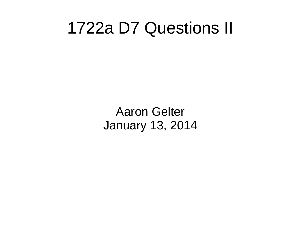## 1722a D7 Questions II

Aaron Gelter January 13, 2014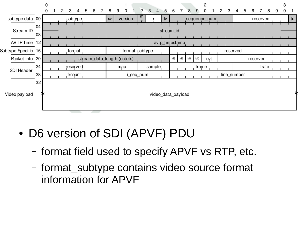|                     |          | 0 |   |   |          |   |   |               |   |                             |                |   |        |    |                    |                |    |    | 2            |   |   |             |   |   |          |   |   | 3 |    |
|---------------------|----------|---|---|---|----------|---|---|---------------|---|-----------------------------|----------------|---|--------|----|--------------------|----------------|----|----|--------------|---|---|-------------|---|---|----------|---|---|---|----|
|                     |          | 0 | 2 | 3 | 4        | 5 | 6 | 8             | 9 | 0                           | $\overline{2}$ | 3 | 4      | 5  | 6                  |                | 8  | 9  | 0            | 2 | 3 | 4           | 5 | 6 |          | 8 | 9 | 0 |    |
| subtype data 00     |          |   |   |   | subtype  |   |   | $\texttt{SV}$ |   | version                     | m              |   |        | tv |                    |                |    |    | sequence_num |   |   |             |   |   | reserved |   |   |   | tu |
| Stream ID           | 04<br>08 |   |   |   |          |   |   |               |   |                             |                |   |        |    | stream_id          |                |    |    |              |   |   |             |   |   |          |   |   |   |    |
| AVTPTime 12         |          |   |   |   |          |   |   |               |   |                             |                |   |        |    | avtp_timestamp     |                |    |    |              |   |   |             |   |   |          |   |   |   |    |
| Subtype Specific 16 |          |   |   |   | format   |   |   |               |   |                             | format_subtype |   |        |    |                    |                |    |    |              |   |   | reserved    |   |   |          |   |   |   |    |
| Packet info 20      |          |   |   |   |          |   |   |               |   | stream_data_length (octets) |                |   |        |    | MЗ                 | M <sub>2</sub> | M1 | MO | evt          |   |   |             |   |   | reserved |   |   |   |    |
| SDI Header          | 24       |   |   |   | reserved |   |   |               |   | map                         |                |   | sample |    |                    |                |    |    | frame        |   |   |             |   |   | frate    |   |   |   |    |
|                     | 28       |   |   |   | frcount  |   |   |               |   |                             | _seq_num       |   |        |    |                    |                |    |    |              |   |   | line_number |   |   |          |   |   |   |    |
| Video payload       | 32<br>≉  |   |   |   |          |   |   |               |   |                             |                |   |        |    | video data payload |                |    |    |              |   |   |             |   |   |          |   |   |   | ≈  |

- D6 version of SDI (APVF) PDU
	- format field used to specify APVF vs RTP, etc.
	- format\_subtype contains video source format information for APVF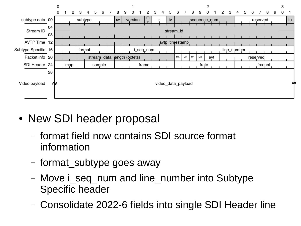

- New SDI header proposal
	- format field now contains SDI source format information
	- format\_subtype goes away
	- Move i seq num and line number into Subtype Specific header
	- Consolidate 2022-6 fields into single SDI Header line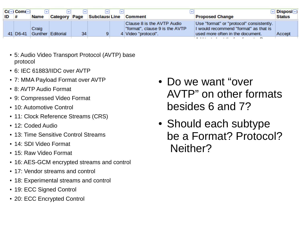|    | ∣Cd≂i Comr≂i          |             |                      |    |                      |                                                                                     |                                                                                                                                 | - Disposi⊡    |
|----|-----------------------|-------------|----------------------|----|----------------------|-------------------------------------------------------------------------------------|---------------------------------------------------------------------------------------------------------------------------------|---------------|
| ID | ∣#                    | <b>Name</b> | <b>Category Page</b> |    | <b>Subclaus Line</b> | Comment                                                                             | <b>Proposed Change</b>                                                                                                          | <b>Status</b> |
|    | 41 D <sub>6</sub> -41 | Craig       | Gunther Editorial    | 34 |                      | Clause 8 is the AVTP Audio<br>"format", clause 9 is the AVTP<br>4 Video "protocol". | Use "format" or "protocol" consistently.<br>I would recommend "format" as that is<br>used more often in the document.<br>$\sim$ | Accept        |

- 5: Audio Video Transport Protocol (AVTP) base protocol
- 6: IEC 61883/IIDC over AVTP
- 7: MMA Payload Format over AVTP
- 8: AVTP Audio Format
- 9: Compressed Video Format
- 10: Automotive Control
- 11: Clock Reference Streams (CRS)
- 12: Coded Audio
- 13: Time Sensitive Control Streams
- 14: SDI Video Format
- 15: Raw Video Format
- 16: AES-GCM encrypted streams and control
- 17: Vendor streams and control
- 18: Experimental streams and control
- 19: ECC Signed Control
- 20: ECC Encrypted Control
- Do we want "over AVTP" on other formats besides 6 and 7?
- Should each subtype be a Format? Protocol? Neither?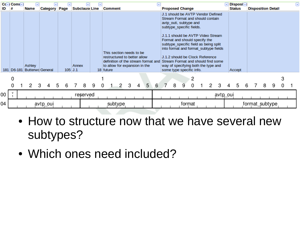| ID | $C(-)$ Com $\Box$<br># | <b>Name</b>                           | ŀН | lwi<br><b>Category Page</b> |   | мı              |       | <b>Subclaus Line</b> |   | ь | <b>Comment</b> |   |                                                                                                                                  |   |   | ۰ı | <b>Proposed Change</b>                                                                                                                                                                                                                                                                                                                           |   |        |   |                                                                             |   | $\boxdot$ Disposi $\boxdot$<br><b>Status</b> |   | <b>Disposition Detail</b> |   |   | ⊡ |
|----|------------------------|---------------------------------------|----|-----------------------------|---|-----------------|-------|----------------------|---|---|----------------|---|----------------------------------------------------------------------------------------------------------------------------------|---|---|----|--------------------------------------------------------------------------------------------------------------------------------------------------------------------------------------------------------------------------------------------------------------------------------------------------------------------------------------------------|---|--------|---|-----------------------------------------------------------------------------|---|----------------------------------------------|---|---------------------------|---|---|---|
|    |                        | Ashley<br>181 D6-181 Butterwd General |    |                             |   | $105 \vert J.1$ | Annex |                      |   |   | 18 future      |   | This section needs to be<br>restructured to better allow<br>definition of the stream format and<br>to allow for expansion in the |   |   |    | J.1 should be AVTP Vendor Defined<br>Stream Format and should contain<br>avtp outi, subtype and<br>subtype_specific fields.<br>J.1.1 should be AVTP Video Stream<br>Format and should specify the<br>subtype specific field as being split<br>J.1.2 should be Clock Reference<br>way of specifying both the type and<br>some type specific info. |   |        |   | into format and format_subtype fields<br>Stream Format and should find some |   | Accept                                       |   |                           |   |   |   |
|    | 0                      |                                       |    |                             |   |                 |       |                      |   |   |                |   |                                                                                                                                  |   |   |    |                                                                                                                                                                                                                                                                                                                                                  |   | 2      |   |                                                                             |   |                                              |   |                           |   | 3 |   |
|    |                        | 2                                     | 3  | 4                           | 5 | 6               |       | 8                    | 9 | 0 |                | 2 | 3                                                                                                                                | 4 | 5 | 6  | 8                                                                                                                                                                                                                                                                                                                                                | 9 | 0      | 2 | 3                                                                           | 4 | 5                                            | 6 | 8                         | 9 |   |   |
| 00 |                        |                                       |    |                             |   |                 |       | reserved             |   |   |                |   |                                                                                                                                  |   |   |    |                                                                                                                                                                                                                                                                                                                                                  |   |        |   | avtp_oui                                                                    |   |                                              |   |                           |   |   |   |
| 04 |                        |                                       |    | avtp_oui                    |   |                 |       |                      |   |   | subtype        |   |                                                                                                                                  |   |   |    |                                                                                                                                                                                                                                                                                                                                                  |   | format |   |                                                                             |   |                                              |   | format_subtype            |   |   |   |

- How to structure now that we have several new subtypes?
- Which ones need included?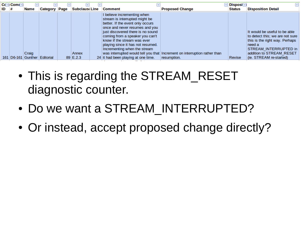| $ID$ # | $C(-)$ Com $(-)$ | <b>Name</b>                     | <b>Category Page</b> | <b>Subclause Line</b>    | <b>Comment</b>                                                                                                                                                                                                                                                                                                                                         | <b>Proposed Change</b>                                                                     | $\boxed{\mathbf{v}}$ Disposi $\boxed{\mathbf{v}}$<br><b>Status</b> | <b>Disposition Detail</b>                                                                                                                                                                    |  |  |  |
|--------|------------------|---------------------------------|----------------------|--------------------------|--------------------------------------------------------------------------------------------------------------------------------------------------------------------------------------------------------------------------------------------------------------------------------------------------------------------------------------------------------|--------------------------------------------------------------------------------------------|--------------------------------------------------------------------|----------------------------------------------------------------------------------------------------------------------------------------------------------------------------------------------|--|--|--|
|        |                  | Craig<br>161   D6-161   Gunther | Editorial            | Annex<br>$89 \mid E.2.3$ | I believe incrementing when<br>stream is interrupted might be<br>better. If the event only occurs<br>once and never resumes and you<br>just discovered there is no sound<br>coming from a speaker you can't<br>know if the stream was ever<br>playing since it has not resumed.<br>Incrementing when the stream<br>24 it had been playing at one time. | was interrupted would tell you that   Increment on interruption rather than<br>resumption. | Revise                                                             | It would be useful to be able<br>to detect this; we are not sure<br>this is the right way. Perhaps<br>need a<br>STREAM INTERRUPTED in<br>addition to STREAM RESET<br>(ie. STREAM re-started) |  |  |  |

- This is regarding the STREAM RESET diagnostic counter.
- Do we want a STREAM\_INTERRUPTED?
- Or instead, accept proposed change directly?